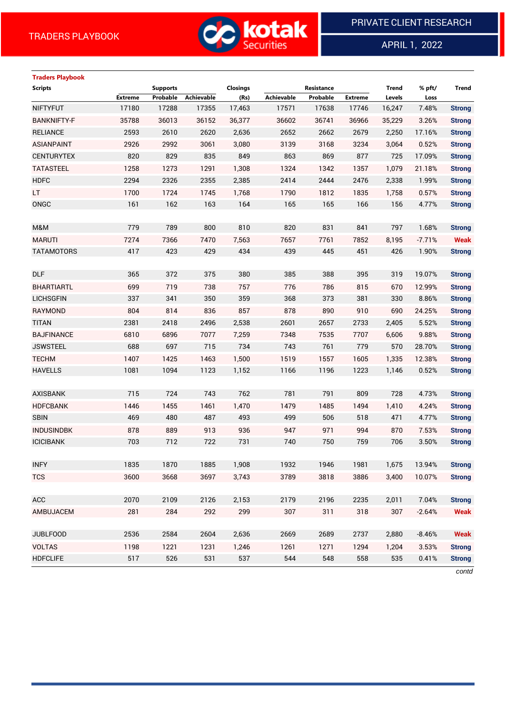

APRIL 1, 2022

 $\overline{a}$ 

# **Traders Playbook Scripts Supports Closings Resistance Trend % pft/ Trend Extreme Probable Achievable (Rs) Achievable Probable Extreme Levels Loss** NIFTYFUT 17180 17288 17355 17,463 17571 17638 17746 16,247 7.48% **Strong** BANKNIFTY-F 35788 36013 36152 36,377 36602 36741 36966 35,229 3.26% **Strong** RELIANCE 2593 2610 2620 2,636 2652 2662 2679 2,250 17.16% **Strong** ASIANPAINT 2926 2992 3061 3,080 3139 3168 3234 3,064 0.52% **Strong** CENTURYTEX 820 829 835 849 863 869 877 725 17.09% **Strong** TATASTEEL 1258 1273 1291 1,308 1324 1342 1357 1,079 21.18% **Strong** HDFC 2294 2326 2355 2,385 2414 2444 2476 2,338 1.99% **Strong** LT 1700 1724 1745 1,768 1790 1812 1835 1,758 0.57% **Strong** ONGC 161 162 163 164 165 165 166 156 4.77% **Strong** M&M 779 789 800 810 820 831 841 797 1.68% **Strong** MARUTI 7274 7366 7470 7,563 7657 7761 7852 8,195 -7.71% **Weak** TATAMOTORS 417 423 429 434 439 445 451 426 1.90% **Strong** DLF 365 372 375 380 385 388 395 319 19.07% **Strong** BHARTIARTL 699 719 738 757 776 786 815 670 12.99% **Strong** LICHSGFIN 337 341 350 359 368 373 381 330 8.86% **Strong** RAYMOND 804 814 836 857 878 890 910 690 24.25% **Strong** TITAN 2381 2418 2496 2,538 2601 2657 2733 2,405 5.52% **Strong** BAJFINANCE 6810 6896 7077 7,259 7348 7535 7707 6,606 9.88% **Strong** JSWSTEEL 688 697 715 734 743 761 779 570 28.70% **Strong** TECHM 1407 1425 1463 1,500 1519 1557 1605 1,335 12.38% **Strong** HAVELLS 1081 1094 1123 1,152 1166 1196 1223 1,146 0.52% **Strong** AXISBANK 715 724 743 762 781 791 809 728 4.73% **Strong** HDFCBANK 1446 1455 1461 1,470 1479 1485 1494 1,410 4.24% **Strong** SBIN 469 480 487 493 499 506 518 471 4.77% **Strong** INDUSINDBK 878 889 913 936 947 971 994 870 7.53% **Strong** ICICIBANK 703 712 722 731 740 750 759 706 3.50% **Strong** INFY 1835 1870 1885 1,908 1932 1946 1981 1,675 13.94% **Strong** TCS 3600 3668 3697 3,743 3789 3818 3886 3,400 10.07% **Strong** ACC 2070 2109 2126 2,153 2179 2196 2235 2,011 7.04% **Strong** AMBUJACEM 281 284 292 299 307 311 318 307 -2.64% **Weak** JUBLFOOD 2536 2584 2604 2,636 2669 2689 2737 2,880 -8.46% **Weak** VOLTAS 1198 1221 1231 1,246 1261 1271 1294 1,204 3.53% **Strong** HDFCLIFE 517 526 531 537 544 548 558 535 0.41% **Strong**

*contd*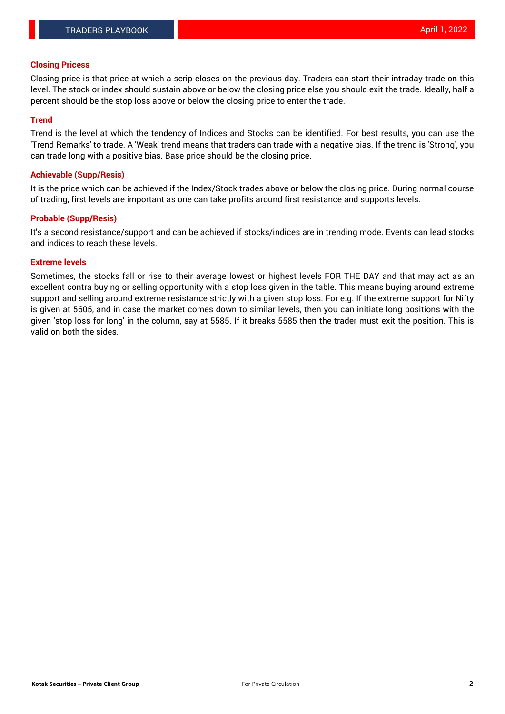#### **Closing Pricess**

Closing price is that price at which a scrip closes on the previous day. Traders can start their intraday trade on this level. The stock or index should sustain above or below the closing price else you should exit the trade. Ideally, half a percent should be the stop loss above or below the closing price to enter the trade.

### **Trend**

Trend is the level at which the tendency of Indices and Stocks can be identified. For best results, you can use the 'Trend Remarks' to trade. A 'Weak' trend means that traders can trade with a negative bias. If the trend is 'Strong', you can trade long with a positive bias. Base price should be the closing price.

#### **Achievable (Supp/Resis)**

It is the price which can be achieved if the Index/Stock trades above or below the closing price. During normal course of trading, first levels are important as one can take profits around first resistance and supports levels.

### **Probable (Supp/Resis)**

It's a second resistance/support and can be achieved if stocks/indices are in trending mode. Events can lead stocks and indices to reach these levels.

#### **Extreme levels**

Sometimes, the stocks fall or rise to their average lowest or highest levels FOR THE DAY and that may act as an excellent contra buying or selling opportunity with a stop loss given in the table. This means buying around extreme support and selling around extreme resistance strictly with a given stop loss. For e.g. If the extreme support for Nifty is given at 5605, and in case the market comes down to similar levels, then you can initiate long positions with the given 'stop loss for long' in the column, say at 5585. If it breaks 5585 then the trader must exit the position. This is valid on both the sides.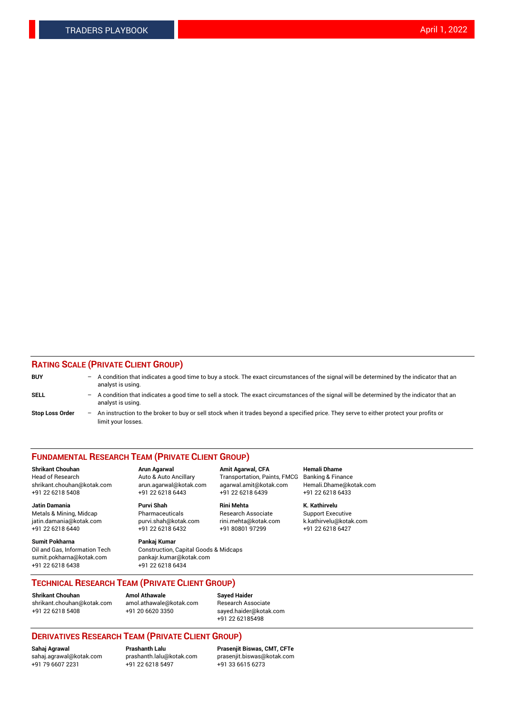## **RATING SCALE (PRIVATE CLIENT GROUP)**

| <b>BUY</b>             | -                 | A condition that indicates a good time to buy a stock. The exact circumstances of the signal will be determined by the indicator that an<br>analyst is using.  |
|------------------------|-------------------|----------------------------------------------------------------------------------------------------------------------------------------------------------------|
| SELL                   | -                 | A condition that indicates a good time to sell a stock. The exact circumstances of the signal will be determined by the indicator that an<br>analyst is using. |
| <b>Stop Loss Order</b> | $\qquad \qquad -$ | An instruction to the broker to buy or sell stock when it trades beyond a specified price. They serve to either protect your profits or<br>limit your losses.  |

#### **FUNDAMENTAL RESEARCH TEAM (PRIVATE CLIENT GROUP)**

**Shrikant Chouhan Arun Agarwal Amit Agarwal, CFA Hemali Dhame** Head of Research Auto & Auto Ancillary Transportation, Paints, FMCG Banking & Finance shrikant.chouhan@kotak.com arun.agarwal@kotak.com agarwal.amit@kotak.com Hemali.Dhame@kotak.com

**Jatin Damania Purvi Shah Rini Mehta K. Kathirvelu** Metals & Mining, Midcap **Pharmaceuticals** Research Associate Support Executive jatin.damania@kotak.com [purvi.shah@kotak.com](mailto:purvi.shah@kotak.com) rini.mehta@kotak.com [k.kathirvelu@kotak.com](mailto:k.kathirvelu@kotak.com)  $+91$  22 6218 6440  $+91$  22 6218 6432

**Sumit Pokharna Pankaj Kumar** sumit.pokharna@kotak.com pankajr.kumar@kotak.com +91 22 6218 6438 +91 22 6218 6434

Oil and Gas, Information Tech Construction, Capital Goods & Midcaps

+91 22 6218 5408 +91 22 6218 6443 +91 22 6218 6439 +91 22 6218 6433

**TECHNICAL RESEARCH TEAM (PRIVATE CLIENT GROUP)**

[shrikant.chouhan@kotak.com](mailto:shrikant.chouhan@kotak.com) [amol.athawale@kotak.com](mailto:amol.athawale@kotak.com) Research Associate +91 22 6218 5408 +91 20 6620 3350 [sayed.haider@kotak.com](mailto:sayed.haider@kotak.com)

**Shrikant Chouhan Amol Athawale Sayed Haider**

+91 22 62185498

# **DERIVATIVES RESEARCH TEAM (PRIVATE CLIENT GROUP)**

 $+91$  22 6218 5497

**Sahaj Agrawal Prashanth Lalu Prasenjit Biswas, CMT, CFTe** [sahaj.agrawal@kotak.com](mailto:sahaj.agrawal@kotak.com) [prashanth.lalu@kotak.com](mailto:prashanth.lalu@kotak.com) [prasenjit.biswas@kotak.com](mailto:prasenjit.biswas@kotak.com)